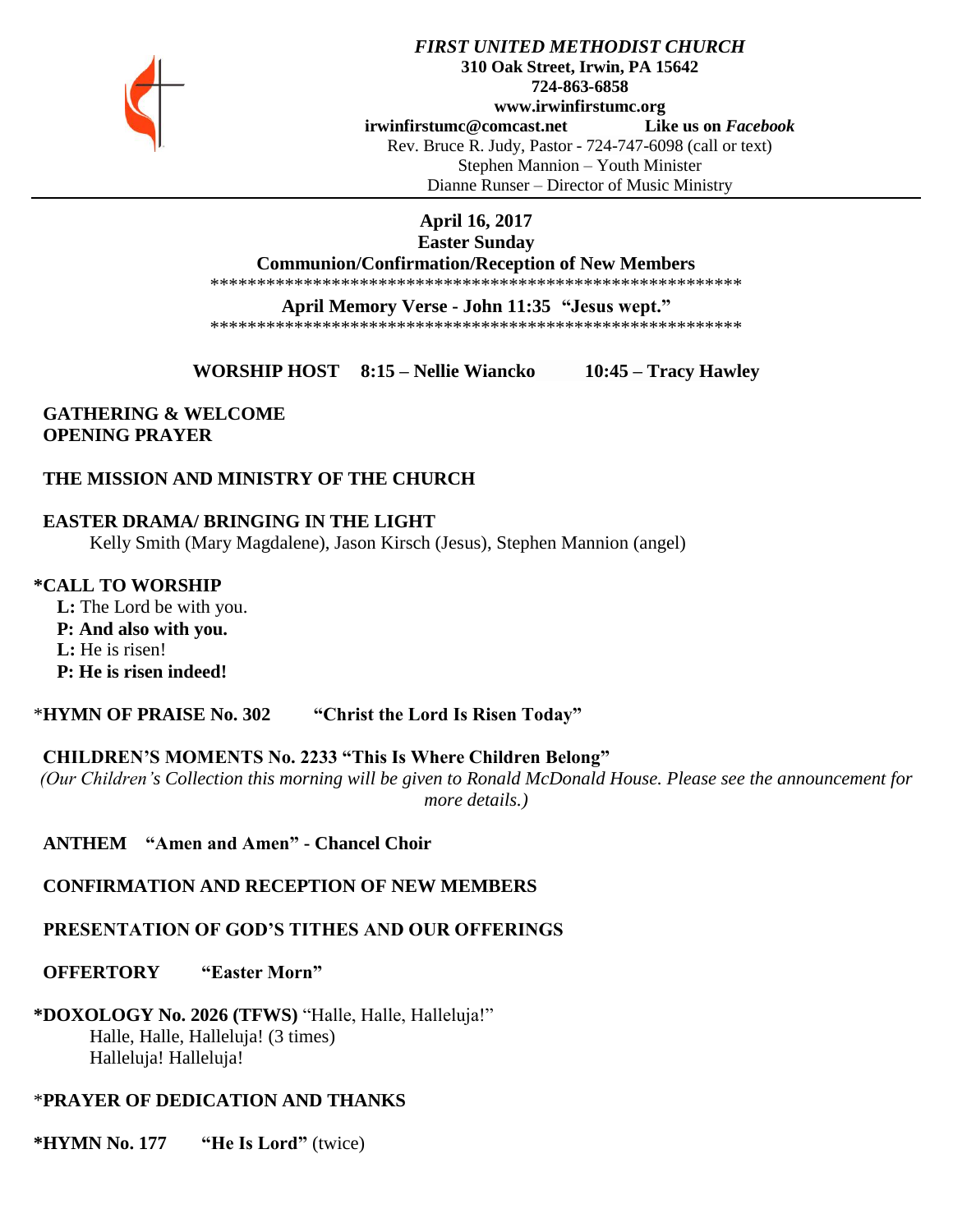

#### *FIRST UNITED METHODIST CHURCH* **310 Oak Street, Irwin, PA 15642 724-863-6858 www.irwinfirstumc.org [irwinfirstumc@comcast.net](mailto:irwinfirstumc@comcast.net) Like us on** *Facebook* Rev. Bruce R. Judy, Pastor - 724-747-6098 (call or text) Stephen Mannion – Youth Minister Dianne Runser – Director of Music Ministry

## **April 16, 2017**

#### **Easter Sunday**

**Communion/Confirmation/Reception of New Members**

\*\*\*\*\*\*\*\*\*\*\*\*\*\*\*\*\*\*\*\*\*\*\*\*\*\*\*\*\*\*\*\*\*\*\*\*\*\*\*\*\*\*\*\*\*\*\*\*\*\*\*\*\*\*\*\*\*

#### **April Memory Verse - John 11:35 "Jesus wept."**

\*\*\*\*\*\*\*\*\*\*\*\*\*\*\*\*\*\*\*\*\*\*\*\*\*\*\*\*\*\*\*\*\*\*\*\*\*\*\*\*\*\*\*\*\*\*\*\*\*\*\*\*\*\*\*\*\*

**WORSHIP HOST 8:15 – Nellie Wiancko 10:45 – Tracy Hawley**

## **GATHERING & WELCOME OPENING PRAYER**

## **THE MISSION AND MINISTRY OF THE CHURCH**

## **EASTER DRAMA/ BRINGING IN THE LIGHT**

Kelly Smith (Mary Magdalene), Jason Kirsch (Jesus), Stephen Mannion (angel)

**\*CALL TO WORSHIP L:** The Lord be with you.  **P: And also with you.**

 **L:** He is risen!

 **P: He is risen indeed!**

\***HYMN OF PRAISE No. 302 "Christ the Lord Is Risen Today"**

#### **CHILDREN'S MOMENTS No. 2233 "This Is Where Children Belong"**

*(Our Children's Collection this morning will be given to Ronald McDonald House. Please see the announcement for more details.)*

 **ANTHEM "Amen and Amen" - Chancel Choir**

 **CONFIRMATION AND RECEPTION OF NEW MEMBERS**

## **PRESENTATION OF GOD'S TITHES AND OUR OFFERINGS**

 **OFFERTORY "Easter Morn"**

**\*DOXOLOGY No. 2026 (TFWS)** "Halle, Halle, Halleluja!" Halle, Halle, Halleluja! (3 times) Halleluja! Halleluja!

#### \***PRAYER OF DEDICATION AND THANKS**

**\*HYMN No. 177 "He Is Lord"** (twice)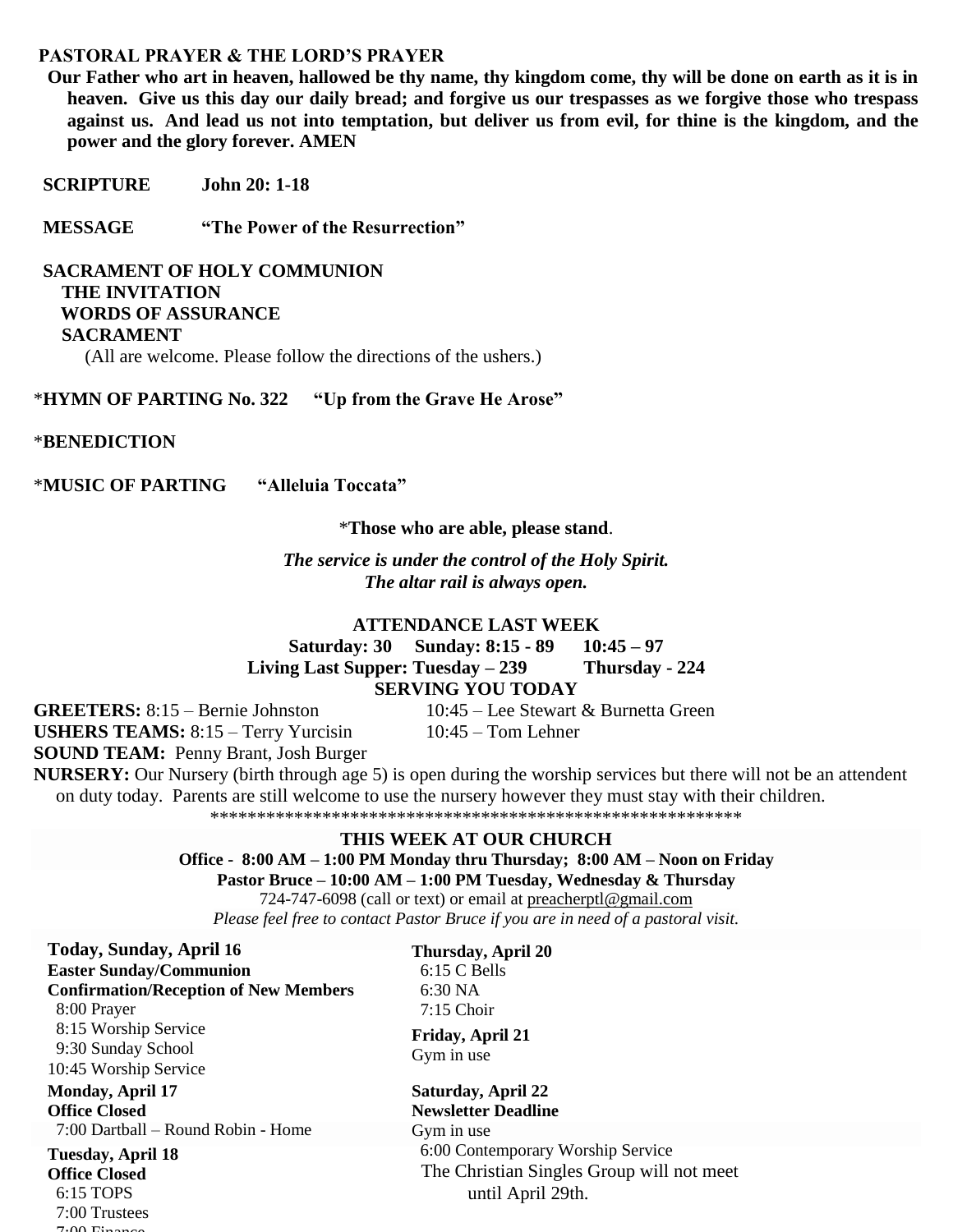#### **PASTORAL PRAYER & THE LORD'S PRAYER**

 **Our Father who art in heaven, hallowed be thy name, thy kingdom come, thy will be done on earth as it is in heaven. Give us this day our daily bread; and forgive us our trespasses as we forgive those who trespass against us. And lead us not into temptation, but deliver us from evil, for thine is the kingdom, and the power and the glory forever. AMEN**

 **SCRIPTURE John 20: 1-18**

 **MESSAGE "The Power of the Resurrection"**

 **SACRAMENT OF HOLY COMMUNION THE INVITATION WORDS OF ASSURANCE SACRAMENT**  (All are welcome. Please follow the directions of the ushers.)

\***HYMN OF PARTING No. 322 "Up from the Grave He Arose"**

#### \***BENEDICTION**

\***MUSIC OF PARTING "Alleluia Toccata"**

\***Those who are able, please stand**.

*The service is under the control of the Holy Spirit. The altar rail is always open.*

#### **ATTENDANCE LAST WEEK**

**Saturday: 30 Sunday: 8:15 - 89 10:45 – 97 Living Last Supper: Tuesday – 239 Thursday - 224 SERVING YOU TODAY**

**GREETERS:** 8:15 – Bernie Johnston 10:45 – Lee Stewart & Burnetta Green **USHERS TEAMS:** 8:15 – Terry Yurcisin 10:45 – Tom Lehner **SOUND TEAM:** Penny Brant, Josh Burger

**NURSERY:** Our Nursery (birth through age 5) is open during the worship services but there will not be an attendent on duty today. Parents are still welcome to use the nursery however they must stay with their children.

\*\*\*\*\*\*\*\*\*\*\*\*\*\*\*\*\*\*\*\*\*\*\*\*\*\*\*\*\*\*\*\*\*\*\*\*\*\*\*\*\*\*\*\*\*\*\*\*\*\*\*\*\*\*\*\*\*

#### **THIS WEEK AT OUR CHURCH**

**Office - 8:00 AM – 1:00 PM Monday thru Thursday; 8:00 AM – Noon on Friday Pastor Bruce – 10:00 AM – 1:00 PM Tuesday, Wednesday & Thursday**

724-747-6098 (call or text) or email at [preacherptl@gmail.com](mailto:preacherptl@gmail.com)

*Please feel free to contact Pastor Bruce if you are in need of a pastoral visit.*

**Thursday, April 20** 6:15 C Bells

**Today, Sunday, April 16 Easter Sunday/Communion Confirmation/Reception of New Members** 8:00 Prayer 8:15 Worship Service 9:30 Sunday School 10:45 Worship Service **Tuesday, April 18 Office Closed** 6:15 TOPS 7:00 Trustees **Monday, April 17 Office Closed** 7:00 Dartball – Round Robin - Home

 $7.00 \text{ F}$ 

 6:30 NA 7:15 Choir **Saturday, April 22 Newsletter Deadline**  Gym in use 6:00 Contemporary Worship Service The Christian Singles Group will not meet **Friday, April 21** Gym in use

until April 29th.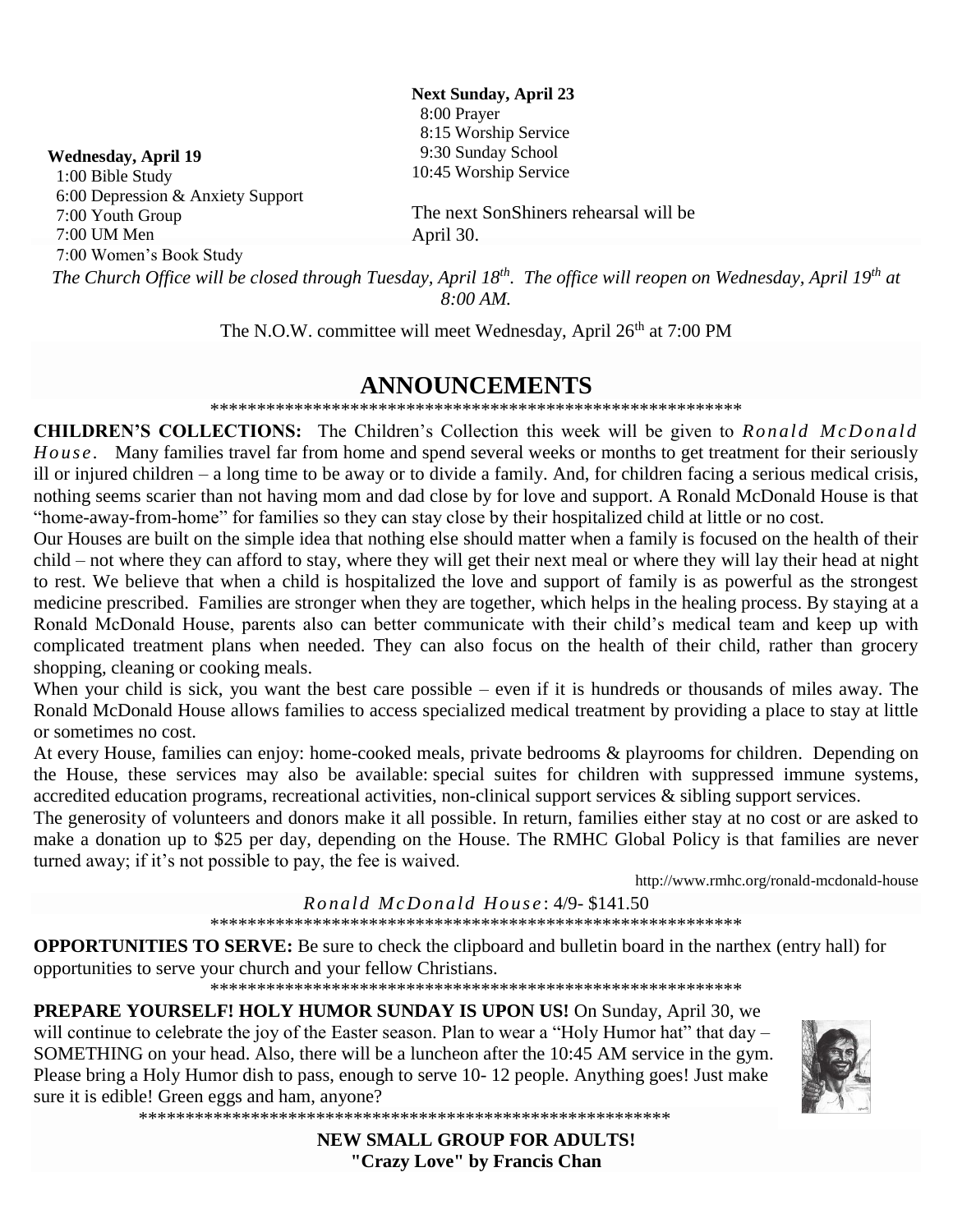**Next Sunday, April 23** 8:00 Prayer 8:15 Worship Service 9:30 Sunday School 10:45 Worship Service

#### **Wednesday, April 19**

 1:00 Bible Study 6:00 Depression & Anxiety Support 7:00 Youth Group 7:00 UM Men

7:00 Women's Book Study

The next SonShiners rehearsal will be April 30.

*The Church Office will be closed through Tuesday, April 18th. The office will reopen on Wednesday, April 19th at 8:00 AM.*

The N.O.W. committee will meet Wednesday, April 26<sup>th</sup> at 7:00 PM

## **ANNOUNCEMENTS**

\*\*\*\*\*\*\*\*\*\*\*\*\*\*\*\*\*\*\*\*\*\*\*\*\*\*\*\*\*\*\*\*\*\*\*\*\*\*\*\*\*\*\*\*\*\*\*\*\*\*\*\*\*\*\*\*\*

**CHILDREN'S COLLECTIONS:** The Children's Collection this week will be given to *Ronald McDonald H o us e .* Many families travel far from home and spend several weeks or months to get treatment for their seriously ill or injured children – a long time to be away or to divide a family. And, for children facing a serious medical crisis, nothing seems scarier than not having mom and dad close by for love and support. A Ronald McDonald House is that "home-away-from-home" for families so they can stay close by their hospitalized child at little or no cost.

Our Houses are built on the simple idea that nothing else should matter when a family is focused on the health of their child – not where they can afford to stay, where they will get their next meal or where they will lay their head at night to rest. We believe that when a child is hospitalized the love and support of family is as powerful as the strongest medicine prescribed. Families are stronger when they are together, which helps in the healing process. By staying at a Ronald McDonald House, parents also can better communicate with their child's medical team and keep up with complicated treatment plans when needed. They can also focus on the health of their child, rather than grocery shopping, cleaning or cooking meals.

When your child is sick, you want the best care possible – even if it is hundreds or thousands of miles away. The Ronald McDonald House allows families to access specialized medical treatment by providing a place to stay at little or sometimes no cost.

At every House, families can enjoy: home-cooked meals, private bedrooms & playrooms for children. Depending on the House, these services may also be available: special suites for children with suppressed immune systems, accredited education programs, recreational activities, non-clinical support services & sibling support services.

The generosity of volunteers and donors make it all possible. In return, families either stay at no cost or are asked to make a donation up to \$25 per day, depending on the House. The RMHC Global Policy is that families are never turned away; if it's not possible to pay, the fee is waived.

http://www.rmhc.org/ronald-mcdonald-house

*R o nal d M c Do na ld H o us e* : 4/9- \$141.50

\*\*\*\*\*\*\*\*\*\*\*\*\*\*\*\*\*\*\*\*\*\*\*\*\*\*\*\*\*\*\*\*\*\*\*\*\*\*\*\*\*\*\*\*\*\*\*\*\*\*\*\*\*\*\*\*\*

**OPPORTUNITIES TO SERVE:** Be sure to check the clipboard and bulletin board in the narthex (entry hall) for opportunities to serve your church and your fellow Christians.

\*\*\*\*\*\*\*\*\*\*\*\*\*\*\*\*\*\*\*\*\*\*\*\*\*\*\*\*\*\*\*\*\*\*\*\*\*\*\*\*\*\*\*\*\*\*\*\*\*\*\*\*\*\*\*\*\*

**PREPARE YOURSELF! HOLY HUMOR SUNDAY IS UPON US!** On Sunday, April 30, we will continue to celebrate the joy of the Easter season. Plan to wear a "Holy Humor hat" that day – SOMETHING on your head. Also, there will be a luncheon after the 10:45 AM service in the gym. Please bring a Holy Humor dish to pass, enough to serve 10- 12 people. Anything goes! Just make sure it is edible! Green eggs and ham, anyone?





**NEW SMALL GROUP FOR ADULTS! "Crazy Love" by Francis Chan**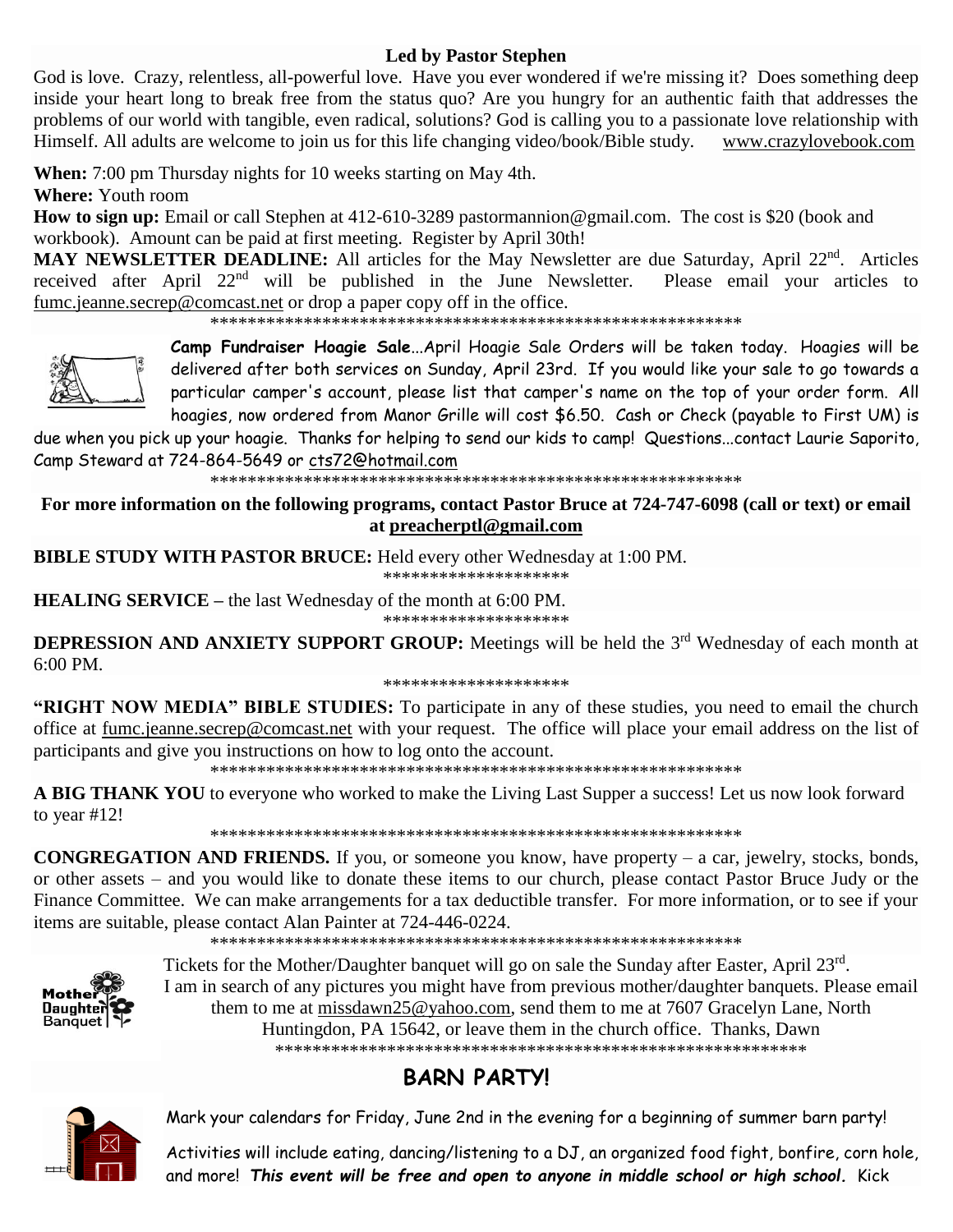## **Led by Pastor Stephen**

God is love. Crazy, relentless, all-powerful love. Have you ever wondered if we're missing it? Does something deep inside your heart long to break free from the status quo? Are you hungry for an authentic faith that addresses the problems of our world with tangible, even radical, solutions? God is calling you to a passionate love relationship with Himself. All adults are welcome to join us for this life changing video/book/Bible study. [www.crazylovebook.com](http://www.crazylovebook.com/)

**When:** 7:00 pm Thursday nights for 10 weeks starting on May 4th.

**Where:** Youth room

**How to sign up:** Email or call Stephen at 412-610-3289 [pastormannion@gmail.com.](javascript:window.top.ZmObjectManager.__doClickObject(document.getElementById(%22OBJ_PREFIX_DWT3470_com_zimbra_email%22));) The cost is \$20 (book and workbook). Amount can be paid at first meeting. Register by April 30th!

MAY NEWSLETTER DEADLINE: All articles for the May Newsletter are due Saturday, April 22<sup>nd</sup>. Articles received after April 22<sup>nd</sup> will be published in the June Newsletter. Please email your articles to [fumc.jeanne.secrep@comcast.net](mailto:fumc.jeanne.secrep@comcast.net) or drop a paper copy off in the office.

\*\*\*\*\*\*\*\*\*\*\*\*\*\*\*\*\*\*\*\*\*\*\*\*\*\*\*\*\*\*\*\*\*\*\*\*\*\*\*\*\*\*\*\*\*\*\*\*\*\*\*\*\*\*\*\*\*



**Camp Fundraiser Hoagie Sale**...April Hoagie Sale Orders will be taken today. Hoagies will be delivered after both services on Sunday, April 23rd. If you would like your sale to go towards a particular camper's account, please list that camper's name on the top of your order form. All hoagies, now ordered from Manor Grille will cost \$6.50. Cash or Check (payable to First UM) is

due when you pick up your hoagie. Thanks for helping to send our kids to camp! Questions...contact Laurie Saporito, Camp Steward at 724-864-5649 or [cts72@hotmail.com](javascript:window.top.ZmObjectManager.__doClickObject(document.getElementById(%22OBJ_PREFIX_DWT8595_com_zimbra_email%22));)

\*\*\*\*\*\*\*\*\*\*\*\*\*\*\*\*\*\*\*\*\*\*\*\*\*\*\*\*\*\*\*\*\*\*\*\*\*\*\*\*\*\*\*\*\*\*\*\*\*\*\*\*\*\*\*\*\*

**For more information on the following programs, contact Pastor Bruce at 724-747-6098 (call or text) or email at [preacherptl@gmail.com](mailto:preacherptl@gmail.com)**

**BIBLE STUDY WITH PASTOR BRUCE:** Held every other Wednesday at 1:00 PM.

\*\*\*\*\*\*\*\*\*\*\*\*\*\*\*\*\*\*\*\*

**HEALING SERVICE –** the last Wednesday of the month at 6:00 PM.

\*\*\*\*\*\*\*\*\*\*\*\*\*\*\*\*\*\*\*\*

**DEPRESSION AND ANXIETY SUPPORT GROUP:** Meetings will be held the 3<sup>rd</sup> Wednesday of each month at 6:00 PM.

#### \*\*\*\*\*\*\*\*\*\*\*\*\*\*\*\*\*\*\*\*

**"RIGHT NOW MEDIA" BIBLE STUDIES:** To participate in any of these studies, you need to email the church office at [fumc.jeanne.secrep@comcast.net](mailto:fumc.jeanne.secrep@comcast.net) with your request. The office will place your email address on the list of participants and give you instructions on how to log onto the account.

\*\*\*\*\*\*\*\*\*\*\*\*\*\*\*\*\*\*\*\*\*\*\*\*\*\*\*\*\*\*\*\*\*\*\*\*\*\*\*\*\*\*\*\*\*\*\*\*\*\*\*\*\*\*\*\*\*

**A BIG THANK YOU** to everyone who worked to make the Living Last Supper a success! Let us now look forward to year #12!

\*\*\*\*\*\*\*\*\*\*\*\*\*\*\*\*\*\*\*\*\*\*\*\*\*\*\*\*\*\*\*\*\*\*\*\*\*\*\*\*\*\*\*\*\*\*\*\*\*\*\*\*\*\*\*\*\*

**CONGREGATION AND FRIENDS.** If you, or someone you know, have property – a car, jewelry, stocks, bonds, or other assets – and you would like to donate these items to our church, please contact Pastor Bruce Judy or the Finance Committee. We can make arrangements for a tax deductible transfer. For more information, or to see if your items are suitable, please contact Alan Painter at 724-446-0224.

\*\*\*\*\*\*\*\*\*\*\*\*\*\*\*\*\*\*\*\*\*\*\*\*\*\*\*\*\*\*\*\*\*\*\*\*\*\*\*\*\*\*\*\*\*\*\*\*\*\*\*\*\*\*\*\*\*



Tickets for the Mother/Daughter banquet will go on sale the Sunday after Easter, April 23rd. I am in search of any pictures you might have from previous mother/daughter banquets. Please email them to me at [missdawn25@yahoo.com,](javascript:window.top.ZmObjectManager.__doClickObject(document.getElementById(%22OBJ_PREFIX_DWT7770_com_zimbra_email%22));) send them to me at 7607 Gracelyn Lane, North Huntingdon, PA 15642, or leave them in the church office. Thanks, Dawn \*\*\*\*\*\*\*\*\*\*\*\*\*\*\*\*\*\*\*\*\*\*\*\*\*\*\*\*\*\*\*\*\*\*\*\*\*\*\*\*\*\*\*\*\*\*\*\*\*\*\*\*\*\*\*\*\*

# **BARN PARTY!**



Mark your calendars for Friday, June 2nd in the evening for a beginning of summer barn party!

Activities will include eating, dancing/listening to a DJ, an organized food fight, bonfire, corn hole, and more! *This event will be free and open to anyone in middle school or high school.* Kick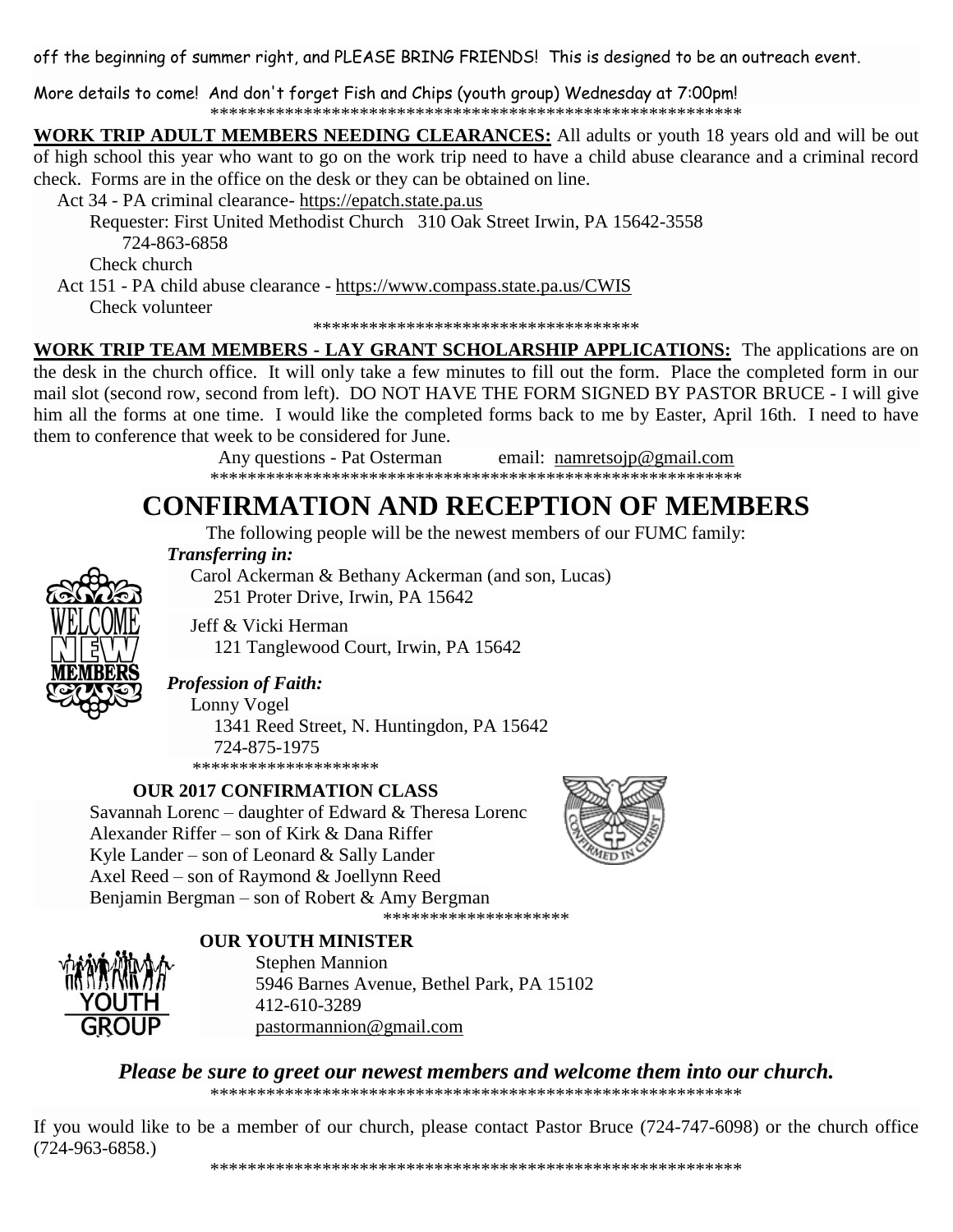off the beginning of summer right, and PLEASE BRING FRIENDS! This is designed to be an outreach event.

More details to come! And don't forget Fish and Chips (youth group) Wednesday at 7:00pm! 

**WORK TRIP ADULT MEMBERS NEEDING CLEARANCES:** All adults or youth 18 years old and will be out of high school this year who want to go on the work trip need to have a child abuse clearance and a criminal record check. Forms are in the office on the desk or they can be obtained on line.

Act 34 - PA criminal clearance- https://epatch.state.pa.us

Requester: First United Methodist Church 310 Oak Street Irwin, PA 15642-3558 724-863-6858

Check church

Act 151 - PA child abuse clearance - https://www.compass.state.pa.us/CWIS Check volunteer

\*\*\*\*\*\*\*\*\*\*\*\*\*\*\*\*\*\*\*\*\*\*\*\*\*\*\*\*\*\*\*\*\*\*\*

**WORK TRIP TEAM MEMBERS - LAY GRANT SCHOLARSHIP APPLICATIONS:** The applications are on the desk in the church office. It will only take a few minutes to fill out the form. Place the completed form in our mail slot (second row, second from left). DO NOT HAVE THE FORM SIGNED BY PASTOR BRUCE - I will give him all the forms at one time. I would like the completed forms back to me by Easter, April 16th. I need to have them to conference that week to be considered for June.

> Any questions - Pat Osterman email: namretsojp@gmail.com

# **CONFIRMATION AND RECEPTION OF MEMBERS**

The following people will be the newest members of our FUMC family:

Transferring in:

Carol Ackerman & Bethany Ackerman (and son, Lucas)

251 Proter Drive, Irwin, PA 15642

Jeff & Vicki Herman

121 Tanglewood Court, Irwin, PA 15642

**Profession of Faith:** 

Lonny Vogel

1341 Reed Street, N. Huntingdon, PA 15642 724-875-1975 \*\*\*\*\*\*\*\*\*\*\*\*\*\*\*\*\*\*\*\*

## **OUR 2017 CONFIRMATION CLASS**

Savannah Lorenc – daughter of Edward & Theresa Lorenc Alexander Riffer - son of Kirk & Dana Riffer Kyle Lander – son of Leonard & Sally Lander Axel Reed – son of Raymond & Joellynn Reed Benjamin Bergman – son of Robert & Amy Bergman \*\*\*\*\*\*\*\*\*\*\*\*\*\*\*\*\*\*\*\*



**OUR YOUTH MINISTER** 



**Stephen Mannion** 5946 Barnes Avenue, Bethel Park, PA 15102 412-610-3289 pastormannion@gmail.com

Please be sure to greet our newest members and welcome them into our church. 

If you would like to be a member of our church, please contact Pastor Bruce (724-747-6098) or the church office  $(724-963-6858.)$